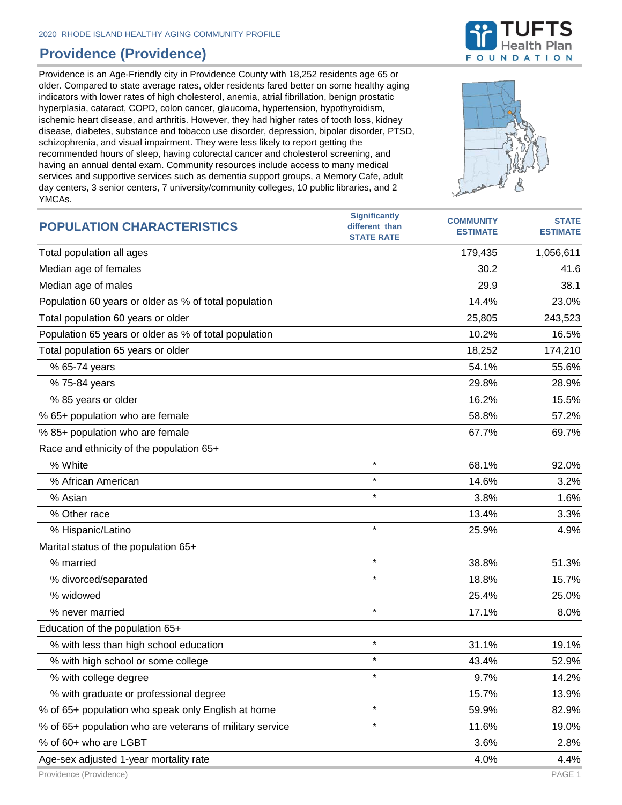## **Providence (Providence)**

Providence is an Age-Friendly city in Providence County with 18,252 residents age 65 or older. Compared to state average rates, older residents fared better on some healthy aging indicators with lower rates of high cholesterol, anemia, atrial fibrillation, benign prostatic hyperplasia, cataract, COPD, colon cancer, glaucoma, hypertension, hypothyroidism, ischemic heart disease, and arthritis. However, they had higher rates of tooth loss, kidney disease, diabetes, substance and tobacco use disorder, depression, bipolar disorder, PTSD, schizophrenia, and visual impairment. They were less likely to report getting the recommended hours of sleep, having colorectal cancer and cholesterol screening, and having an annual dental exam. Community resources include access to many medical services and supportive services such as dementia support groups, a Memory Cafe, adult day centers, 3 senior centers, 7 university/community colleges, 10 public libraries, and 2 YMCAs.



| <b>POPULATION CHARACTERISTICS</b>                        | <b>Significantly</b><br>different than<br><b>STATE RATE</b> | <b>COMMUNITY</b><br><b>ESTIMATE</b> | <b>STATE</b><br><b>ESTIMATE</b> |
|----------------------------------------------------------|-------------------------------------------------------------|-------------------------------------|---------------------------------|
| Total population all ages                                |                                                             | 179,435                             | 1,056,611                       |
| Median age of females                                    |                                                             | 30.2                                | 41.6                            |
| Median age of males                                      |                                                             | 29.9                                | 38.1                            |
| Population 60 years or older as % of total population    |                                                             | 14.4%                               | 23.0%                           |
| Total population 60 years or older                       |                                                             | 25,805                              | 243,523                         |
| Population 65 years or older as % of total population    |                                                             | 10.2%                               | 16.5%                           |
| Total population 65 years or older                       |                                                             | 18,252                              | 174,210                         |
| % 65-74 years                                            |                                                             | 54.1%                               | 55.6%                           |
| % 75-84 years                                            |                                                             | 29.8%                               | 28.9%                           |
| % 85 years or older                                      |                                                             | 16.2%                               | 15.5%                           |
| % 65+ population who are female                          |                                                             | 58.8%                               | 57.2%                           |
| % 85+ population who are female                          |                                                             | 67.7%                               | 69.7%                           |
| Race and ethnicity of the population 65+                 |                                                             |                                     |                                 |
| % White                                                  | $\star$                                                     | 68.1%                               | 92.0%                           |
| % African American                                       | $\star$                                                     | 14.6%                               | 3.2%                            |
| % Asian                                                  | $\star$                                                     | 3.8%                                | 1.6%                            |
| % Other race                                             |                                                             | 13.4%                               | 3.3%                            |
| % Hispanic/Latino                                        | $\star$                                                     | 25.9%                               | 4.9%                            |
| Marital status of the population 65+                     |                                                             |                                     |                                 |
| % married                                                | $\star$                                                     | 38.8%                               | 51.3%                           |
| % divorced/separated                                     | $\star$                                                     | 18.8%                               | 15.7%                           |
| % widowed                                                |                                                             | 25.4%                               | 25.0%                           |
| % never married                                          | $\star$                                                     | 17.1%                               | 8.0%                            |
| Education of the population 65+                          |                                                             |                                     |                                 |
| % with less than high school education                   | $\star$                                                     | 31.1%                               | 19.1%                           |
| % with high school or some college                       | $\star$                                                     | 43.4%                               | 52.9%                           |
| % with college degree                                    | $\star$                                                     | 9.7%                                | 14.2%                           |
| % with graduate or professional degree                   |                                                             | 15.7%                               | 13.9%                           |
| % of 65+ population who speak only English at home       | $\star$                                                     | 59.9%                               | 82.9%                           |
| % of 65+ population who are veterans of military service | $\star$                                                     | 11.6%                               | 19.0%                           |
| % of 60+ who are LGBT                                    |                                                             | 3.6%                                | 2.8%                            |
| Age-sex adjusted 1-year mortality rate                   |                                                             | 4.0%                                | 4.4%                            |

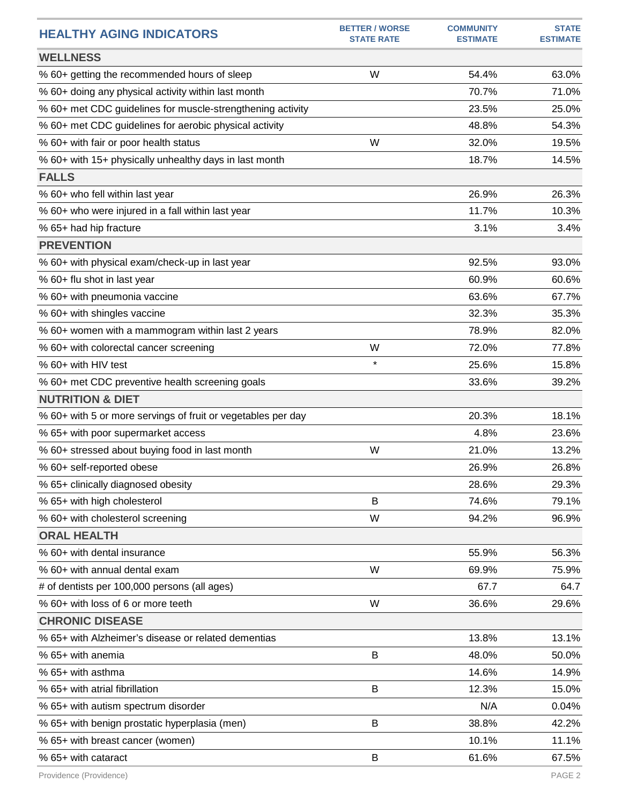| <b>HEALTHY AGING INDICATORS</b>                              | <b>BETTER / WORSE</b><br><b>STATE RATE</b> | <b>COMMUNITY</b><br><b>ESTIMATE</b> | <b>STATE</b><br><b>ESTIMATE</b> |
|--------------------------------------------------------------|--------------------------------------------|-------------------------------------|---------------------------------|
| <b>WELLNESS</b>                                              |                                            |                                     |                                 |
| % 60+ getting the recommended hours of sleep                 | W                                          | 54.4%                               | 63.0%                           |
| % 60+ doing any physical activity within last month          |                                            | 70.7%                               | 71.0%                           |
| % 60+ met CDC guidelines for muscle-strengthening activity   |                                            | 23.5%                               | 25.0%                           |
| % 60+ met CDC guidelines for aerobic physical activity       |                                            | 48.8%                               | 54.3%                           |
| % 60+ with fair or poor health status                        | W                                          | 32.0%                               | 19.5%                           |
| % 60+ with 15+ physically unhealthy days in last month       |                                            | 18.7%                               | 14.5%                           |
| <b>FALLS</b>                                                 |                                            |                                     |                                 |
| % 60+ who fell within last year                              |                                            | 26.9%                               | 26.3%                           |
| % 60+ who were injured in a fall within last year            |                                            | 11.7%                               | 10.3%                           |
| % 65+ had hip fracture                                       |                                            | 3.1%                                | 3.4%                            |
| <b>PREVENTION</b>                                            |                                            |                                     |                                 |
| % 60+ with physical exam/check-up in last year               |                                            | 92.5%                               | 93.0%                           |
| % 60+ flu shot in last year                                  |                                            | 60.9%                               | 60.6%                           |
| % 60+ with pneumonia vaccine                                 |                                            | 63.6%                               | 67.7%                           |
| % 60+ with shingles vaccine                                  |                                            | 32.3%                               | 35.3%                           |
| % 60+ women with a mammogram within last 2 years             |                                            | 78.9%                               | 82.0%                           |
| % 60+ with colorectal cancer screening                       | W                                          | 72.0%                               | 77.8%                           |
| % 60+ with HIV test                                          | $\star$                                    | 25.6%                               | 15.8%                           |
| % 60+ met CDC preventive health screening goals              |                                            | 33.6%                               | 39.2%                           |
| <b>NUTRITION &amp; DIET</b>                                  |                                            |                                     |                                 |
| % 60+ with 5 or more servings of fruit or vegetables per day |                                            | 20.3%                               | 18.1%                           |
| % 65+ with poor supermarket access                           |                                            | 4.8%                                | 23.6%                           |
| % 60+ stressed about buying food in last month               | W                                          | 21.0%                               | 13.2%                           |
| % 60+ self-reported obese                                    |                                            | 26.9%                               | 26.8%                           |
| % 65+ clinically diagnosed obesity                           |                                            | 28.6%                               | 29.3%                           |
| % 65+ with high cholesterol                                  | B                                          | 74.6%                               | 79.1%                           |
| % 60+ with cholesterol screening                             | W                                          | 94.2%                               | 96.9%                           |
| <b>ORAL HEALTH</b>                                           |                                            |                                     |                                 |
| % 60+ with dental insurance                                  |                                            | 55.9%                               | 56.3%                           |
| % 60+ with annual dental exam                                | W                                          | 69.9%                               | 75.9%                           |
| # of dentists per 100,000 persons (all ages)                 |                                            | 67.7                                | 64.7                            |
| % 60+ with loss of 6 or more teeth                           | W                                          | 36.6%                               | 29.6%                           |
| <b>CHRONIC DISEASE</b>                                       |                                            |                                     |                                 |
| % 65+ with Alzheimer's disease or related dementias          |                                            | 13.8%                               | 13.1%                           |
| % 65+ with anemia                                            | B                                          | 48.0%                               | 50.0%                           |
| % 65+ with asthma                                            |                                            | 14.6%                               | 14.9%                           |
| % 65+ with atrial fibrillation                               | B                                          | 12.3%                               | 15.0%                           |
| % 65+ with autism spectrum disorder                          |                                            | N/A                                 | 0.04%                           |
| % 65+ with benign prostatic hyperplasia (men)                | B                                          | 38.8%                               | 42.2%                           |
| % 65+ with breast cancer (women)                             |                                            | 10.1%                               | 11.1%                           |
| % 65+ with cataract                                          | B                                          | 61.6%                               | 67.5%                           |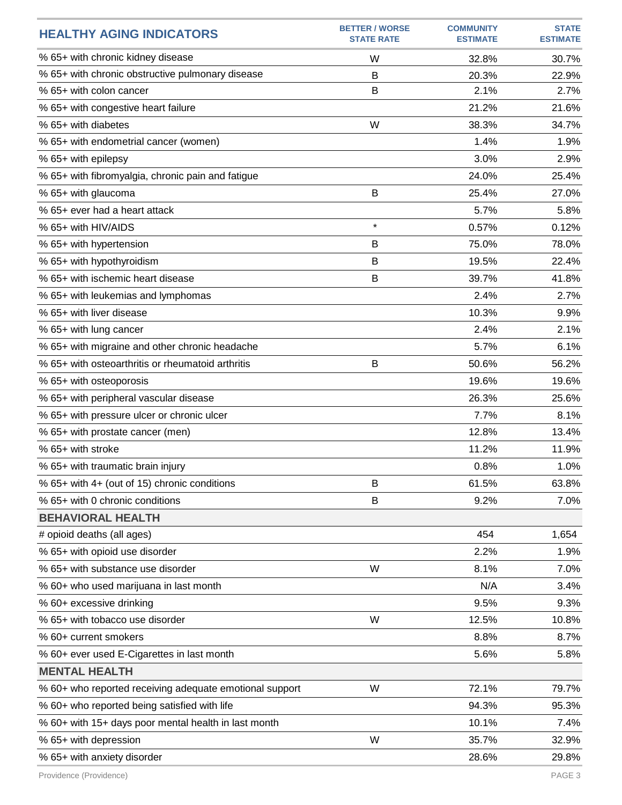| <b>HEALTHY AGING INDICATORS</b>                         | <b>BETTER / WORSE</b><br><b>STATE RATE</b> | <b>COMMUNITY</b><br><b>ESTIMATE</b> | <b>STATE</b><br><b>ESTIMATE</b> |
|---------------------------------------------------------|--------------------------------------------|-------------------------------------|---------------------------------|
| % 65+ with chronic kidney disease                       | W                                          | 32.8%                               | 30.7%                           |
| % 65+ with chronic obstructive pulmonary disease        | B                                          | 20.3%                               | 22.9%                           |
| % 65+ with colon cancer                                 | B                                          | 2.1%                                | 2.7%                            |
| % 65+ with congestive heart failure                     |                                            | 21.2%                               | 21.6%                           |
| % 65+ with diabetes                                     | W                                          | 38.3%                               | 34.7%                           |
| % 65+ with endometrial cancer (women)                   |                                            | 1.4%                                | 1.9%                            |
| % 65+ with epilepsy                                     |                                            | 3.0%                                | 2.9%                            |
| % 65+ with fibromyalgia, chronic pain and fatigue       |                                            | 24.0%                               | 25.4%                           |
| % 65+ with glaucoma                                     | B                                          | 25.4%                               | 27.0%                           |
| % 65+ ever had a heart attack                           |                                            | 5.7%                                | 5.8%                            |
| % 65+ with HIV/AIDS                                     | $\star$                                    | 0.57%                               | 0.12%                           |
| % 65+ with hypertension                                 | B                                          | 75.0%                               | 78.0%                           |
| % 65+ with hypothyroidism                               | B                                          | 19.5%                               | 22.4%                           |
| % 65+ with ischemic heart disease                       | B                                          | 39.7%                               | 41.8%                           |
| % 65+ with leukemias and lymphomas                      |                                            | 2.4%                                | 2.7%                            |
| % 65+ with liver disease                                |                                            | 10.3%                               | 9.9%                            |
| % 65+ with lung cancer                                  |                                            | 2.4%                                | 2.1%                            |
| % 65+ with migraine and other chronic headache          |                                            | 5.7%                                | 6.1%                            |
| % 65+ with osteoarthritis or rheumatoid arthritis       | B                                          | 50.6%                               | 56.2%                           |
| % 65+ with osteoporosis                                 |                                            | 19.6%                               | 19.6%                           |
| % 65+ with peripheral vascular disease                  |                                            | 26.3%                               | 25.6%                           |
| % 65+ with pressure ulcer or chronic ulcer              |                                            | 7.7%                                | 8.1%                            |
| % 65+ with prostate cancer (men)                        |                                            | 12.8%                               | 13.4%                           |
| % 65+ with stroke                                       |                                            | 11.2%                               | 11.9%                           |
| % 65+ with traumatic brain injury                       |                                            | 0.8%                                | 1.0%                            |
| % 65+ with 4+ (out of 15) chronic conditions            | B                                          | 61.5%                               | 63.8%                           |
| % 65+ with 0 chronic conditions                         | B                                          | 9.2%                                | 7.0%                            |
| <b>BEHAVIORAL HEALTH</b>                                |                                            |                                     |                                 |
| # opioid deaths (all ages)                              |                                            | 454                                 | 1,654                           |
| % 65+ with opioid use disorder                          |                                            | 2.2%                                | 1.9%                            |
| % 65+ with substance use disorder                       | W                                          | 8.1%                                | 7.0%                            |
| % 60+ who used marijuana in last month                  |                                            | N/A                                 | 3.4%                            |
| % 60+ excessive drinking                                |                                            | 9.5%                                | 9.3%                            |
| % 65+ with tobacco use disorder                         | W                                          | 12.5%                               | 10.8%                           |
| % 60+ current smokers                                   |                                            | 8.8%                                | 8.7%                            |
| % 60+ ever used E-Cigarettes in last month              |                                            | 5.6%                                | 5.8%                            |
| <b>MENTAL HEALTH</b>                                    |                                            |                                     |                                 |
| % 60+ who reported receiving adequate emotional support | W                                          | 72.1%                               | 79.7%                           |
| % 60+ who reported being satisfied with life            |                                            | 94.3%                               | 95.3%                           |
| % 60+ with 15+ days poor mental health in last month    |                                            | 10.1%                               | 7.4%                            |
| % 65+ with depression                                   | W                                          | 35.7%                               | 32.9%                           |
| % 65+ with anxiety disorder                             |                                            | 28.6%                               | 29.8%                           |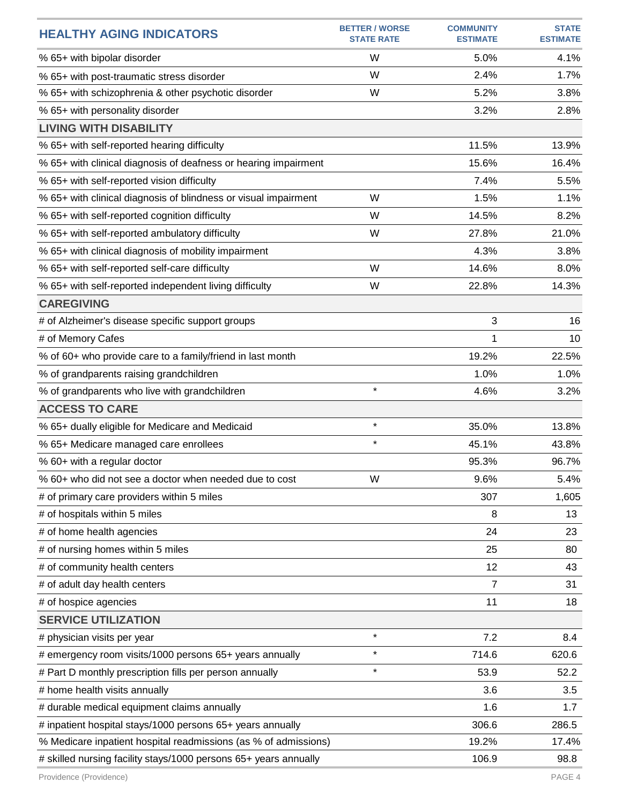| <b>HEALTHY AGING INDICATORS</b>                                  | <b>BETTER / WORSE</b><br><b>STATE RATE</b> | <b>COMMUNITY</b><br><b>ESTIMATE</b> | <b>STATE</b><br><b>ESTIMATE</b> |
|------------------------------------------------------------------|--------------------------------------------|-------------------------------------|---------------------------------|
| % 65+ with bipolar disorder                                      | W                                          | 5.0%                                | 4.1%                            |
| % 65+ with post-traumatic stress disorder                        | W                                          | 2.4%                                | 1.7%                            |
| % 65+ with schizophrenia & other psychotic disorder              | W                                          | 5.2%                                | 3.8%                            |
| % 65+ with personality disorder                                  |                                            | 3.2%                                | 2.8%                            |
| <b>LIVING WITH DISABILITY</b>                                    |                                            |                                     |                                 |
| % 65+ with self-reported hearing difficulty                      |                                            | 11.5%                               | 13.9%                           |
| % 65+ with clinical diagnosis of deafness or hearing impairment  |                                            | 15.6%                               | 16.4%                           |
| % 65+ with self-reported vision difficulty                       |                                            | 7.4%                                | 5.5%                            |
| % 65+ with clinical diagnosis of blindness or visual impairment  | W                                          | 1.5%                                | 1.1%                            |
| % 65+ with self-reported cognition difficulty                    | W                                          | 14.5%                               | 8.2%                            |
| % 65+ with self-reported ambulatory difficulty                   | W                                          | 27.8%                               | 21.0%                           |
| % 65+ with clinical diagnosis of mobility impairment             |                                            | 4.3%                                | 3.8%                            |
| % 65+ with self-reported self-care difficulty                    | W                                          | 14.6%                               | 8.0%                            |
| % 65+ with self-reported independent living difficulty           | W                                          | 22.8%                               | 14.3%                           |
| <b>CAREGIVING</b>                                                |                                            |                                     |                                 |
| # of Alzheimer's disease specific support groups                 |                                            | 3                                   | 16                              |
| # of Memory Cafes                                                |                                            | 1                                   | 10                              |
| % of 60+ who provide care to a family/friend in last month       |                                            | 19.2%                               | 22.5%                           |
| % of grandparents raising grandchildren                          |                                            | 1.0%                                | 1.0%                            |
| % of grandparents who live with grandchildren                    | $\star$                                    | 4.6%                                | 3.2%                            |
| <b>ACCESS TO CARE</b>                                            |                                            |                                     |                                 |
| % 65+ dually eligible for Medicare and Medicaid                  | $\star$                                    | 35.0%                               | 13.8%                           |
| % 65+ Medicare managed care enrollees                            | $\star$                                    | 45.1%                               | 43.8%                           |
| % 60+ with a regular doctor                                      |                                            | 95.3%                               | 96.7%                           |
| % 60+ who did not see a doctor when needed due to cost           | W                                          | 9.6%                                | 5.4%                            |
| # of primary care providers within 5 miles                       |                                            | 307                                 | 1,605                           |
| # of hospitals within 5 miles                                    |                                            | 8                                   | 13                              |
| # of home health agencies                                        |                                            | 24                                  | 23                              |
| # of nursing homes within 5 miles                                |                                            | 25                                  | 80                              |
| # of community health centers                                    |                                            | 12                                  | 43                              |
| # of adult day health centers                                    |                                            | $\overline{7}$                      | 31                              |
| # of hospice agencies                                            |                                            | 11                                  | 18                              |
| <b>SERVICE UTILIZATION</b>                                       |                                            |                                     |                                 |
| # physician visits per year                                      | $\star$                                    | 7.2                                 | 8.4                             |
| # emergency room visits/1000 persons 65+ years annually          | $\star$                                    | 714.6                               | 620.6                           |
| # Part D monthly prescription fills per person annually          | $\star$                                    | 53.9                                | 52.2                            |
| # home health visits annually                                    |                                            | 3.6                                 | 3.5                             |
| # durable medical equipment claims annually                      |                                            | 1.6                                 | 1.7                             |
| # inpatient hospital stays/1000 persons 65+ years annually       |                                            | 306.6                               | 286.5                           |
| % Medicare inpatient hospital readmissions (as % of admissions)  |                                            | 19.2%                               | 17.4%                           |
| # skilled nursing facility stays/1000 persons 65+ years annually |                                            | 106.9                               | 98.8                            |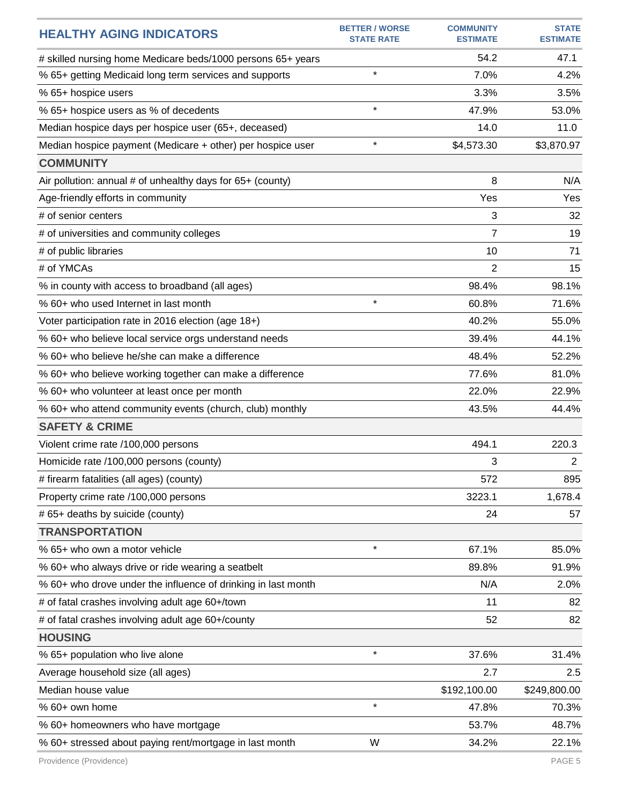| <b>HEALTHY AGING INDICATORS</b>                               | <b>BETTER / WORSE</b><br><b>STATE RATE</b> | <b>COMMUNITY</b><br><b>ESTIMATE</b> | <b>STATE</b><br><b>ESTIMATE</b> |
|---------------------------------------------------------------|--------------------------------------------|-------------------------------------|---------------------------------|
| # skilled nursing home Medicare beds/1000 persons 65+ years   |                                            | 54.2                                | 47.1                            |
| % 65+ getting Medicaid long term services and supports        | $\star$                                    | 7.0%                                | 4.2%                            |
| % 65+ hospice users                                           |                                            | 3.3%                                | 3.5%                            |
| % 65+ hospice users as % of decedents                         | $\star$                                    | 47.9%                               | 53.0%                           |
| Median hospice days per hospice user (65+, deceased)          |                                            | 14.0                                | 11.0                            |
| Median hospice payment (Medicare + other) per hospice user    | $\star$                                    | \$4,573.30                          | \$3,870.97                      |
| <b>COMMUNITY</b>                                              |                                            |                                     |                                 |
| Air pollution: annual # of unhealthy days for 65+ (county)    |                                            | 8                                   | N/A                             |
| Age-friendly efforts in community                             |                                            | Yes                                 | Yes                             |
| # of senior centers                                           |                                            | 3                                   | 32                              |
| # of universities and community colleges                      |                                            | $\overline{7}$                      | 19                              |
| # of public libraries                                         |                                            | 10                                  | 71                              |
| # of YMCAs                                                    |                                            | 2                                   | 15                              |
| % in county with access to broadband (all ages)               |                                            | 98.4%                               | 98.1%                           |
| % 60+ who used Internet in last month                         | $\star$                                    | 60.8%                               | 71.6%                           |
| Voter participation rate in 2016 election (age 18+)           |                                            | 40.2%                               | 55.0%                           |
| % 60+ who believe local service orgs understand needs         |                                            | 39.4%                               | 44.1%                           |
| % 60+ who believe he/she can make a difference                |                                            | 48.4%                               | 52.2%                           |
| % 60+ who believe working together can make a difference      |                                            | 77.6%                               | 81.0%                           |
| % 60+ who volunteer at least once per month                   |                                            | 22.0%                               | 22.9%                           |
| % 60+ who attend community events (church, club) monthly      |                                            | 43.5%                               | 44.4%                           |
| <b>SAFETY &amp; CRIME</b>                                     |                                            |                                     |                                 |
| Violent crime rate /100,000 persons                           |                                            | 494.1                               | 220.3                           |
| Homicide rate /100,000 persons (county)                       |                                            | 3                                   | $\overline{2}$                  |
| # firearm fatalities (all ages) (county)                      |                                            | 572                                 | 895                             |
| Property crime rate /100,000 persons                          |                                            | 3223.1                              | 1,678.4                         |
| # 65+ deaths by suicide (county)                              |                                            | 24                                  | 57                              |
| <b>TRANSPORTATION</b>                                         |                                            |                                     |                                 |
| % 65+ who own a motor vehicle                                 | $\star$                                    | 67.1%                               | 85.0%                           |
| % 60+ who always drive or ride wearing a seatbelt             |                                            | 89.8%                               | 91.9%                           |
| % 60+ who drove under the influence of drinking in last month |                                            | N/A                                 | 2.0%                            |
| # of fatal crashes involving adult age 60+/town               |                                            | 11                                  | 82                              |
| # of fatal crashes involving adult age 60+/county             |                                            | 52                                  | 82                              |
| <b>HOUSING</b>                                                |                                            |                                     |                                 |
| % 65+ population who live alone                               | $\star$                                    | 37.6%                               | 31.4%                           |
| Average household size (all ages)                             |                                            | 2.7                                 | 2.5                             |
| Median house value                                            |                                            | \$192,100.00                        | \$249,800.00                    |
| % 60+ own home                                                | $\star$                                    | 47.8%                               | 70.3%                           |
| % 60+ homeowners who have mortgage                            |                                            | 53.7%                               | 48.7%                           |
| % 60+ stressed about paying rent/mortgage in last month       | W                                          | 34.2%                               | 22.1%                           |